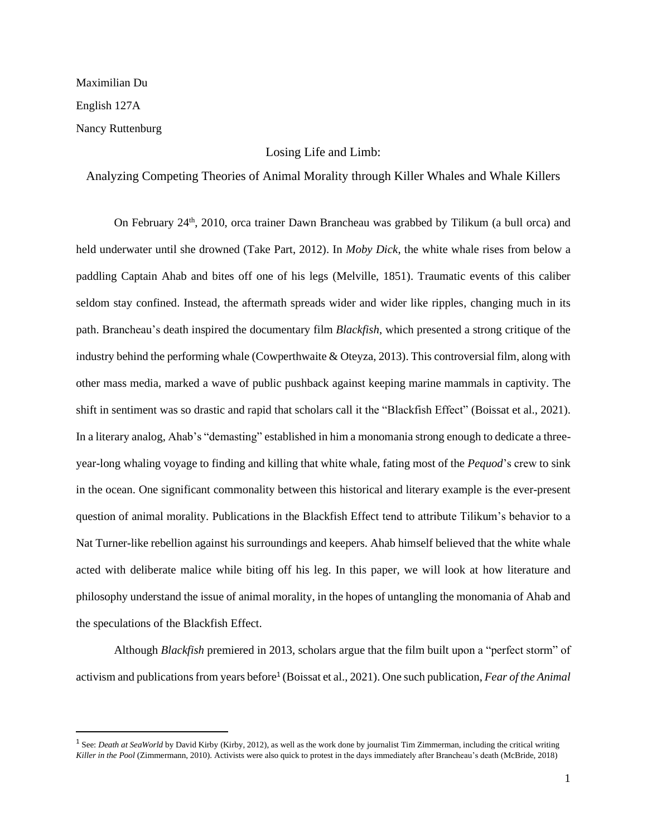#### Maximilian Du

English 127A

Nancy Ruttenburg

### Losing Life and Limb:

## Analyzing Competing Theories of Animal Morality through Killer Whales and Whale Killers

On February 24<sup>th</sup>, 2010, orca trainer Dawn Brancheau was grabbed by Tilikum (a bull orca) and held underwater until she drowned (Take Part, 2012). In *Moby Dick*, the white whale rises from below a paddling Captain Ahab and bites off one of his legs (Melville, 1851). Traumatic events of this caliber seldom stay confined. Instead, the aftermath spreads wider and wider like ripples, changing much in its path. Brancheau's death inspired the documentary film *Blackfish*, which presented a strong critique of the industry behind the performing whale (Cowperthwaite & Oteyza, 2013). This controversial film, along with other mass media, marked a wave of public pushback against keeping marine mammals in captivity. The shift in sentiment was so drastic and rapid that scholars call it the "Blackfish Effect" (Boissat et al., 2021). In a literary analog, Ahab's "demasting" established in him a monomania strong enough to dedicate a threeyear-long whaling voyage to finding and killing that white whale, fating most of the *Pequod*'s crew to sink in the ocean. One significant commonality between this historical and literary example is the ever-present question of animal morality. Publications in the Blackfish Effect tend to attribute Tilikum's behavior to a Nat Turner-like rebellion against his surroundings and keepers. Ahab himself believed that the white whale acted with deliberate malice while biting off his leg. In this paper, we will look at how literature and philosophy understand the issue of animal morality, in the hopes of untangling the monomania of Ahab and the speculations of the Blackfish Effect.

Although *Blackfish* premiered in 2013, scholars argue that the film built upon a "perfect storm" of activism and publications from years before<sup>1</sup> (Boissat et al., 2021). One such publication, *Fear of the Animal* 

<sup>&</sup>lt;sup>1</sup> See: *Death at SeaWorld* by David Kirby (Kirby, 2012), as well as the work done by journalist Tim Zimmerman, including the critical writing *Killer in the Pool* (Zimmermann, 2010). Activists were also quick to protest in the days immediately after Brancheau's death (McBride, 2018)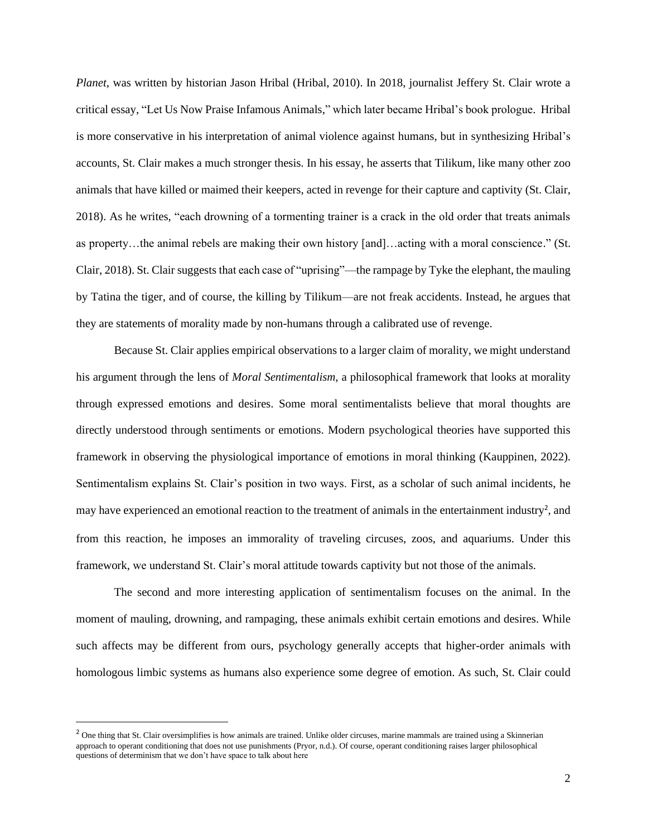*Planet*, was written by historian Jason Hribal (Hribal, 2010). In 2018, journalist Jeffery St. Clair wrote a critical essay, "Let Us Now Praise Infamous Animals," which later became Hribal's book prologue. Hribal is more conservative in his interpretation of animal violence against humans, but in synthesizing Hribal's accounts, St. Clair makes a much stronger thesis. In his essay, he asserts that Tilikum, like many other zoo animals that have killed or maimed their keepers, acted in revenge for their capture and captivity (St. Clair, 2018). As he writes, "each drowning of a tormenting trainer is a crack in the old order that treats animals as property…the animal rebels are making their own history [and]…acting with a moral conscience." (St. Clair, 2018). St. Clair suggests that each case of "uprising"—the rampage by Tyke the elephant, the mauling by Tatina the tiger, and of course, the killing by Tilikum—are not freak accidents. Instead, he argues that they are statements of morality made by non-humans through a calibrated use of revenge.

Because St. Clair applies empirical observations to a larger claim of morality, we might understand his argument through the lens of *Moral Sentimentalism*, a philosophical framework that looks at morality through expressed emotions and desires. Some moral sentimentalists believe that moral thoughts are directly understood through sentiments or emotions. Modern psychological theories have supported this framework in observing the physiological importance of emotions in moral thinking (Kauppinen, 2022). Sentimentalism explains St. Clair's position in two ways. First, as a scholar of such animal incidents, he may have experienced an emotional reaction to the treatment of animals in the entertainment industry<sup>2</sup>, and from this reaction, he imposes an immorality of traveling circuses, zoos, and aquariums. Under this framework, we understand St. Clair's moral attitude towards captivity but not those of the animals.

The second and more interesting application of sentimentalism focuses on the animal. In the moment of mauling, drowning, and rampaging, these animals exhibit certain emotions and desires. While such affects may be different from ours, psychology generally accepts that higher-order animals with homologous limbic systems as humans also experience some degree of emotion. As such, St. Clair could

<sup>&</sup>lt;sup>2</sup> One thing that St. Clair oversimplifies is how animals are trained. Unlike older circuses, marine mammals are trained using a Skinnerian approach to operant conditioning that does not use punishments (Pryor, n.d.). Of course, operant conditioning raises larger philosophical questions of determinism that we don't have space to talk about here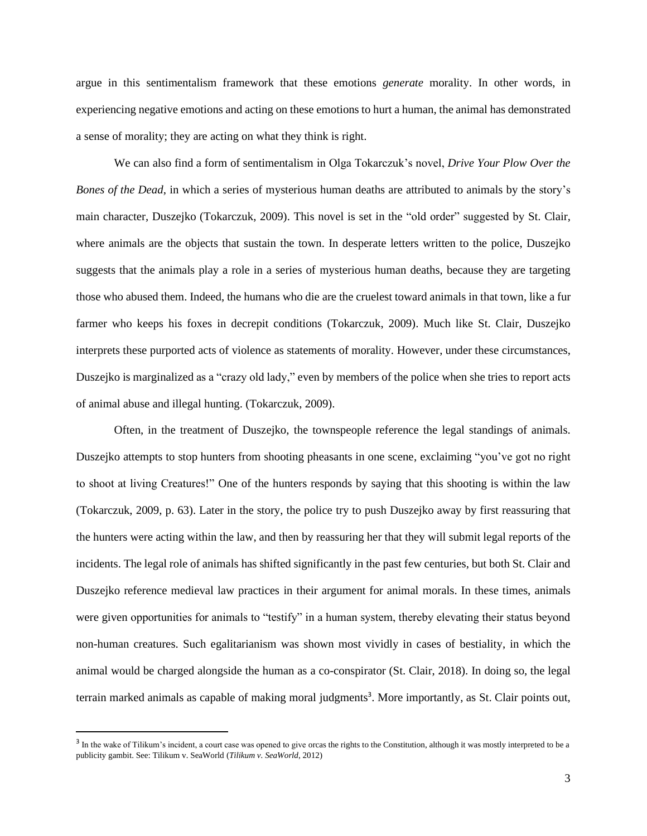argue in this sentimentalism framework that these emotions *generate* morality. In other words, in experiencing negative emotions and acting on these emotions to hurt a human, the animal has demonstrated a sense of morality; they are acting on what they think is right.

We can also find a form of sentimentalism in Olga Tokarczuk's novel, *Drive Your Plow Over the Bones of the Dead*, in which a series of mysterious human deaths are attributed to animals by the story's main character, Duszejko (Tokarczuk, 2009). This novel is set in the "old order" suggested by St. Clair, where animals are the objects that sustain the town. In desperate letters written to the police, Duszejko suggests that the animals play a role in a series of mysterious human deaths, because they are targeting those who abused them. Indeed, the humans who die are the cruelest toward animals in that town, like a fur farmer who keeps his foxes in decrepit conditions (Tokarczuk, 2009). Much like St. Clair, Duszejko interprets these purported acts of violence as statements of morality. However, under these circumstances, Duszejko is marginalized as a "crazy old lady," even by members of the police when she tries to report acts of animal abuse and illegal hunting. (Tokarczuk, 2009).

Often, in the treatment of Duszejko, the townspeople reference the legal standings of animals. Duszejko attempts to stop hunters from shooting pheasants in one scene, exclaiming "you've got no right to shoot at living Creatures!" One of the hunters responds by saying that this shooting is within the law (Tokarczuk, 2009, p. 63). Later in the story, the police try to push Duszejko away by first reassuring that the hunters were acting within the law, and then by reassuring her that they will submit legal reports of the incidents. The legal role of animals has shifted significantly in the past few centuries, but both St. Clair and Duszejko reference medieval law practices in their argument for animal morals. In these times, animals were given opportunities for animals to "testify" in a human system, thereby elevating their status beyond non-human creatures. Such egalitarianism was shown most vividly in cases of bestiality, in which the animal would be charged alongside the human as a co-conspirator (St. Clair, 2018). In doing so, the legal terrain marked animals as capable of making moral judgments<sup>3</sup>. More importantly, as St. Clair points out,

 $3$  In the wake of Tilikum's incident, a court case was opened to give orcas the rights to the Constitution, although it was mostly interpreted to be a publicity gambit. See: Tilikum v. SeaWorld (*Tilikum v. SeaWorld*, 2012)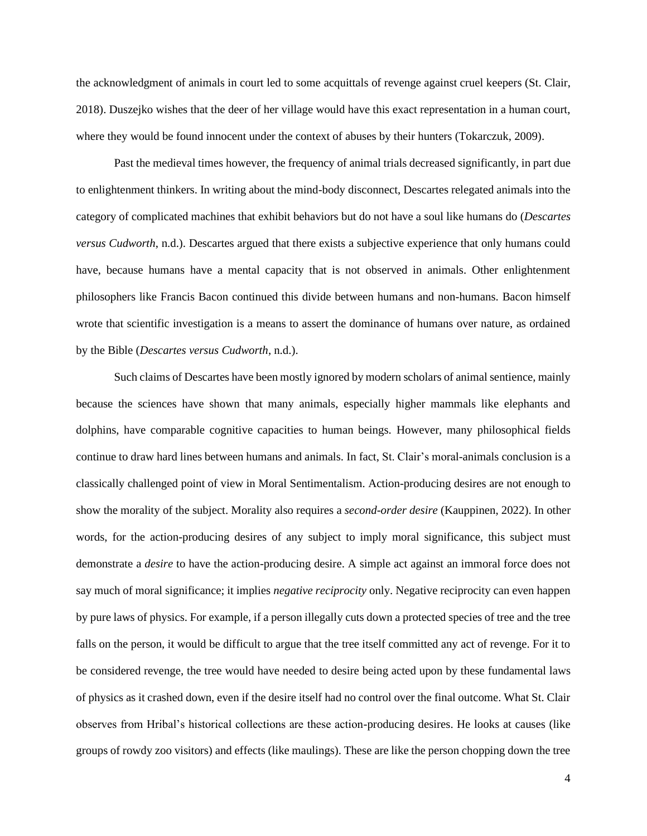the acknowledgment of animals in court led to some acquittals of revenge against cruel keepers (St. Clair, 2018). Duszejko wishes that the deer of her village would have this exact representation in a human court, where they would be found innocent under the context of abuses by their hunters (Tokarczuk, 2009).

Past the medieval times however, the frequency of animal trials decreased significantly, in part due to enlightenment thinkers. In writing about the mind-body disconnect, Descartes relegated animals into the category of complicated machines that exhibit behaviors but do not have a soul like humans do (*Descartes versus Cudworth*, n.d.). Descartes argued that there exists a subjective experience that only humans could have, because humans have a mental capacity that is not observed in animals. Other enlightenment philosophers like Francis Bacon continued this divide between humans and non-humans. Bacon himself wrote that scientific investigation is a means to assert the dominance of humans over nature, as ordained by the Bible (*Descartes versus Cudworth*, n.d.).

Such claims of Descartes have been mostly ignored by modern scholars of animal sentience, mainly because the sciences have shown that many animals, especially higher mammals like elephants and dolphins, have comparable cognitive capacities to human beings. However, many philosophical fields continue to draw hard lines between humans and animals. In fact, St. Clair's moral-animals conclusion is a classically challenged point of view in Moral Sentimentalism. Action-producing desires are not enough to show the morality of the subject. Morality also requires a *second-order desire* (Kauppinen, 2022). In other words, for the action-producing desires of any subject to imply moral significance, this subject must demonstrate a *desire* to have the action-producing desire. A simple act against an immoral force does not say much of moral significance; it implies *negative reciprocity* only. Negative reciprocity can even happen by pure laws of physics. For example, if a person illegally cuts down a protected species of tree and the tree falls on the person, it would be difficult to argue that the tree itself committed any act of revenge. For it to be considered revenge, the tree would have needed to desire being acted upon by these fundamental laws of physics as it crashed down, even if the desire itself had no control over the final outcome. What St. Clair observes from Hribal's historical collections are these action-producing desires. He looks at causes (like groups of rowdy zoo visitors) and effects (like maulings). These are like the person chopping down the tree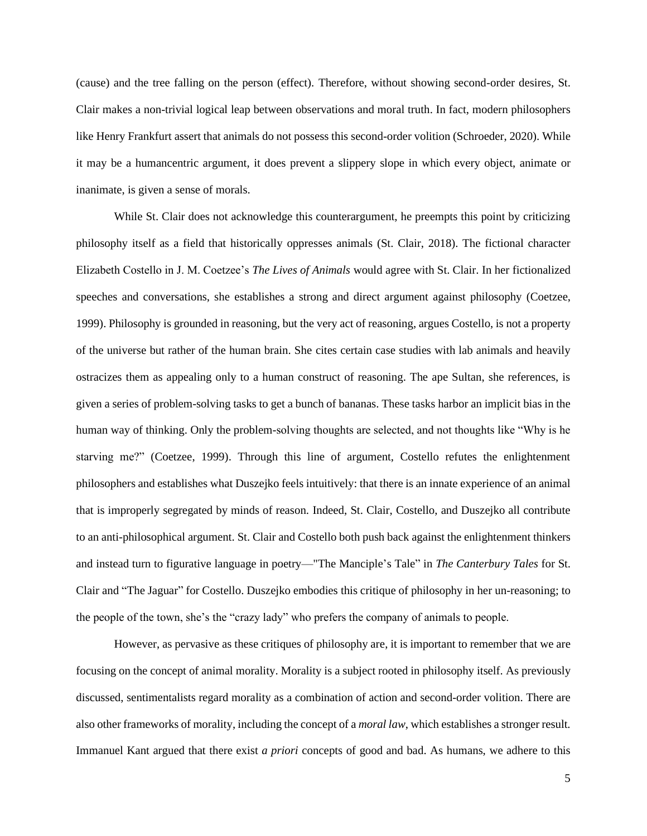(cause) and the tree falling on the person (effect). Therefore, without showing second-order desires, St. Clair makes a non-trivial logical leap between observations and moral truth. In fact, modern philosophers like Henry Frankfurt assert that animals do not possess this second-order volition (Schroeder, 2020). While it may be a humancentric argument, it does prevent a slippery slope in which every object, animate or inanimate, is given a sense of morals.

While St. Clair does not acknowledge this counterargument, he preempts this point by criticizing philosophy itself as a field that historically oppresses animals (St. Clair, 2018). The fictional character Elizabeth Costello in J. M. Coetzee's *The Lives of Animals* would agree with St. Clair. In her fictionalized speeches and conversations, she establishes a strong and direct argument against philosophy (Coetzee, 1999). Philosophy is grounded in reasoning, but the very act of reasoning, argues Costello, is not a property of the universe but rather of the human brain. She cites certain case studies with lab animals and heavily ostracizes them as appealing only to a human construct of reasoning. The ape Sultan, she references, is given a series of problem-solving tasks to get a bunch of bananas. These tasks harbor an implicit bias in the human way of thinking. Only the problem-solving thoughts are selected, and not thoughts like "Why is he starving me?" (Coetzee, 1999). Through this line of argument, Costello refutes the enlightenment philosophers and establishes what Duszejko feels intuitively: that there is an innate experience of an animal that is improperly segregated by minds of reason. Indeed, St. Clair, Costello, and Duszejko all contribute to an anti-philosophical argument. St. Clair and Costello both push back against the enlightenment thinkers and instead turn to figurative language in poetry—"The Manciple's Tale" in *The Canterbury Tales* for St. Clair and "The Jaguar" for Costello. Duszejko embodies this critique of philosophy in her un-reasoning; to the people of the town, she's the "crazy lady" who prefers the company of animals to people.

However, as pervasive as these critiques of philosophy are, it is important to remember that we are focusing on the concept of animal morality. Morality is a subject rooted in philosophy itself. As previously discussed, sentimentalists regard morality as a combination of action and second-order volition. There are also other frameworks of morality, including the concept of a *moral law*, which establishes a stronger result*.* Immanuel Kant argued that there exist *a priori* concepts of good and bad. As humans, we adhere to this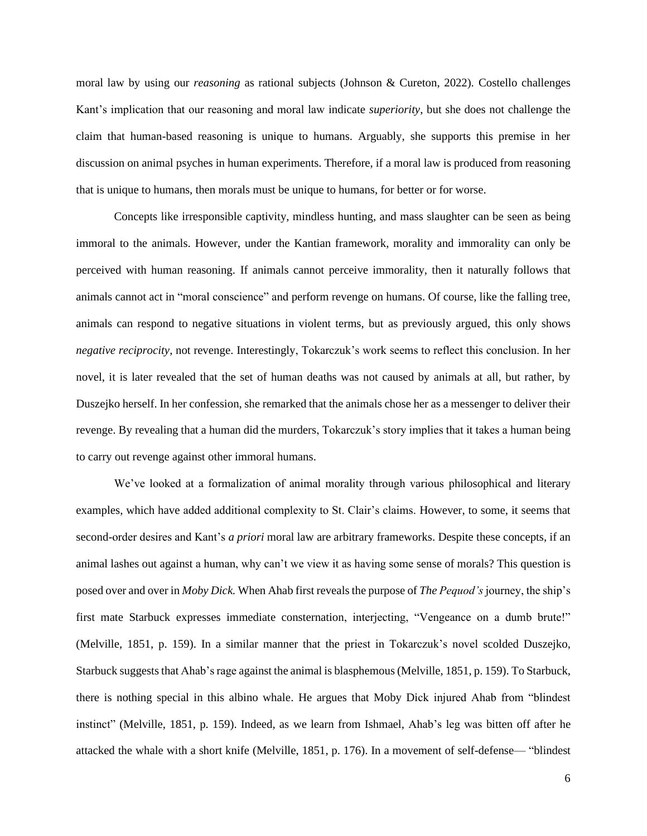moral law by using our *reasoning* as rational subjects (Johnson & Cureton, 2022)*.* Costello challenges Kant's implication that our reasoning and moral law indicate *superiority*, but she does not challenge the claim that human-based reasoning is unique to humans. Arguably, she supports this premise in her discussion on animal psyches in human experiments. Therefore, if a moral law is produced from reasoning that is unique to humans, then morals must be unique to humans, for better or for worse.

Concepts like irresponsible captivity, mindless hunting, and mass slaughter can be seen as being immoral to the animals. However, under the Kantian framework, morality and immorality can only be perceived with human reasoning. If animals cannot perceive immorality, then it naturally follows that animals cannot act in "moral conscience" and perform revenge on humans. Of course, like the falling tree, animals can respond to negative situations in violent terms, but as previously argued, this only shows *negative reciprocity*, not revenge. Interestingly, Tokarczuk's work seems to reflect this conclusion. In her novel, it is later revealed that the set of human deaths was not caused by animals at all, but rather, by Duszejko herself. In her confession, she remarked that the animals chose her as a messenger to deliver their revenge. By revealing that a human did the murders, Tokarczuk's story implies that it takes a human being to carry out revenge against other immoral humans.

We've looked at a formalization of animal morality through various philosophical and literary examples, which have added additional complexity to St. Clair's claims. However, to some, it seems that second-order desires and Kant's *a priori* moral law are arbitrary frameworks. Despite these concepts, if an animal lashes out against a human, why can't we view it as having some sense of morals? This question is posed over and over in *Moby Dick.* When Ahab first reveals the purpose of *The Pequod's* journey, the ship's first mate Starbuck expresses immediate consternation, interjecting, "Vengeance on a dumb brute!" (Melville, 1851, p. 159). In a similar manner that the priest in Tokarczuk's novel scolded Duszejko, Starbuck suggests that Ahab's rage against the animal is blasphemous (Melville, 1851, p. 159). To Starbuck, there is nothing special in this albino whale. He argues that Moby Dick injured Ahab from "blindest instinct" (Melville, 1851, p. 159). Indeed, as we learn from Ishmael, Ahab's leg was bitten off after he attacked the whale with a short knife (Melville, 1851, p. 176). In a movement of self-defense— "blindest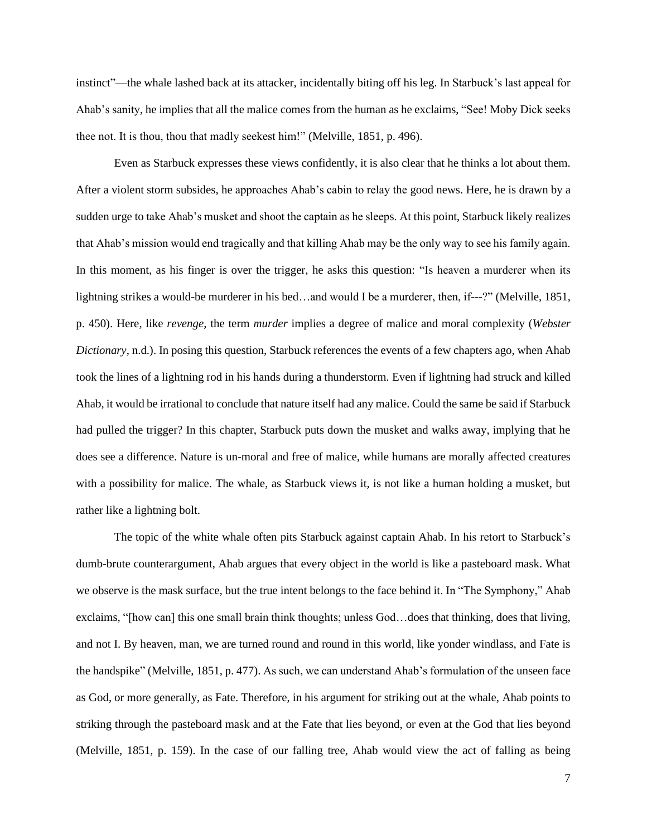instinct"—the whale lashed back at its attacker, incidentally biting off his leg. In Starbuck's last appeal for Ahab's sanity, he implies that all the malice comes from the human as he exclaims, "See! Moby Dick seeks thee not. It is thou, thou that madly seekest him!" (Melville, 1851, p. 496).

Even as Starbuck expresses these views confidently, it is also clear that he thinks a lot about them. After a violent storm subsides, he approaches Ahab's cabin to relay the good news. Here, he is drawn by a sudden urge to take Ahab's musket and shoot the captain as he sleeps. At this point, Starbuck likely realizes that Ahab's mission would end tragically and that killing Ahab may be the only way to see his family again. In this moment, as his finger is over the trigger, he asks this question: "Is heaven a murderer when its lightning strikes a would-be murderer in his bed…and would I be a murderer, then, if---?" (Melville, 1851, p. 450). Here, like *revenge*, the term *murder* implies a degree of malice and moral complexity (*Webster Dictionary*, n.d.). In posing this question, Starbuck references the events of a few chapters ago, when Ahab took the lines of a lightning rod in his hands during a thunderstorm. Even if lightning had struck and killed Ahab, it would be irrational to conclude that nature itself had any malice. Could the same be said if Starbuck had pulled the trigger? In this chapter, Starbuck puts down the musket and walks away, implying that he does see a difference. Nature is un-moral and free of malice, while humans are morally affected creatures with a possibility for malice. The whale, as Starbuck views it, is not like a human holding a musket, but rather like a lightning bolt.

The topic of the white whale often pits Starbuck against captain Ahab. In his retort to Starbuck's dumb-brute counterargument, Ahab argues that every object in the world is like a pasteboard mask. What we observe is the mask surface, but the true intent belongs to the face behind it. In "The Symphony," Ahab exclaims, "[how can] this one small brain think thoughts; unless God…does that thinking, does that living, and not I. By heaven, man, we are turned round and round in this world, like yonder windlass, and Fate is the handspike" (Melville, 1851, p. 477). As such, we can understand Ahab's formulation of the unseen face as God, or more generally, as Fate. Therefore, in his argument for striking out at the whale, Ahab points to striking through the pasteboard mask and at the Fate that lies beyond, or even at the God that lies beyond (Melville, 1851, p. 159). In the case of our falling tree, Ahab would view the act of falling as being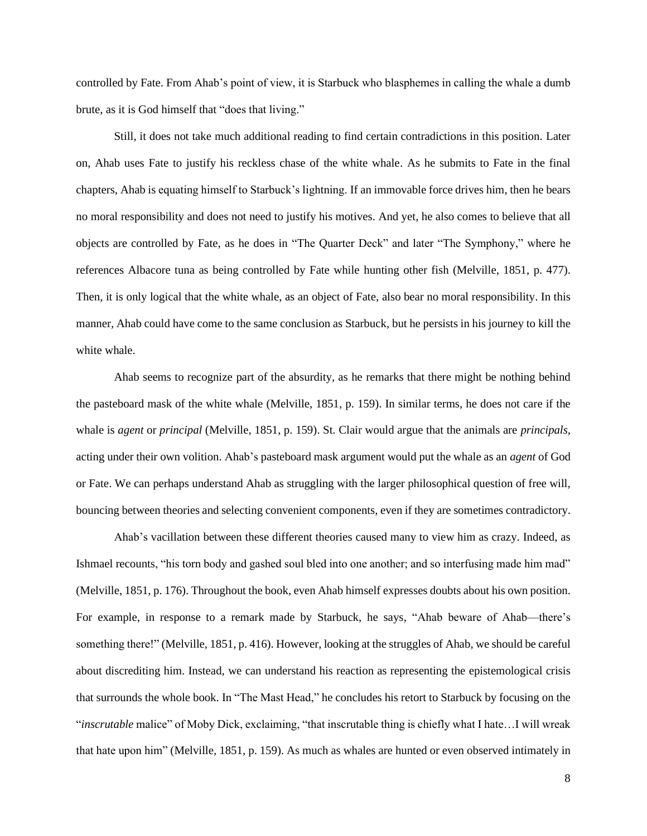controlled by Fate. From Ahab's point of view, it is Starbuck who blasphemes in calling the whale a dumb brute, as it is God himself that "does that living."

Still, it does not take much additional reading to find certain contradictions in this position. Later on, Ahab uses Fate to justify his reckless chase of the white whale. As he submits to Fate in the final chapters, Ahab is equating himself to Starbuck's lightning. If an immovable force drives him, then he bears no moral responsibility and does not need to justify his motives. And yet, he also comes to believe that all objects are controlled by Fate, as he does in "The Quarter Deck" and later "The Symphony," where he references Albacore tuna as being controlled by Fate while hunting other fish (Melville, 1851, p. 477). Then, it is only logical that the white whale, as an object of Fate, also bear no moral responsibility. In this manner, Ahab could have come to the same conclusion as Starbuck, but he persists in his journey to kill the white whale.

Ahab seems to recognize part of the absurdity, as he remarks that there might be nothing behind the pasteboard mask of the white whale (Melville, 1851, p. 159). In similar terms, he does not care if the whale is *agent* or *principal* (Melville, 1851, p. 159). St. Clair would argue that the animals are *principals*, acting under their own volition. Ahab's pasteboard mask argument would put the whale as an *agent* of God or Fate. We can perhaps understand Ahab as struggling with the larger philosophical question of free will, bouncing between theories and selecting convenient components, even if they are sometimes contradictory.

Ahab's vacillation between these different theories caused many to view him as crazy. Indeed, as Ishmael recounts, "his torn body and gashed soul bled into one another; and so interfusing made him mad" (Melville, 1851, p. 176). Throughout the book, even Ahab himself expresses doubts about his own position. For example, in response to a remark made by Starbuck, he says, "Ahab beware of Ahab—there's something there!" (Melville, 1851, p. 416). However, looking at the struggles of Ahab, we should be careful about discrediting him. Instead, we can understand his reaction as representing the epistemological crisis that surrounds the whole book. In "The Mast Head," he concludes his retort to Starbuck by focusing on the "*inscrutable* malice" of Moby Dick, exclaiming, "that inscrutable thing is chiefly what I hate…I will wreak that hate upon him" (Melville, 1851, p. 159). As much as whales are hunted or even observed intimately in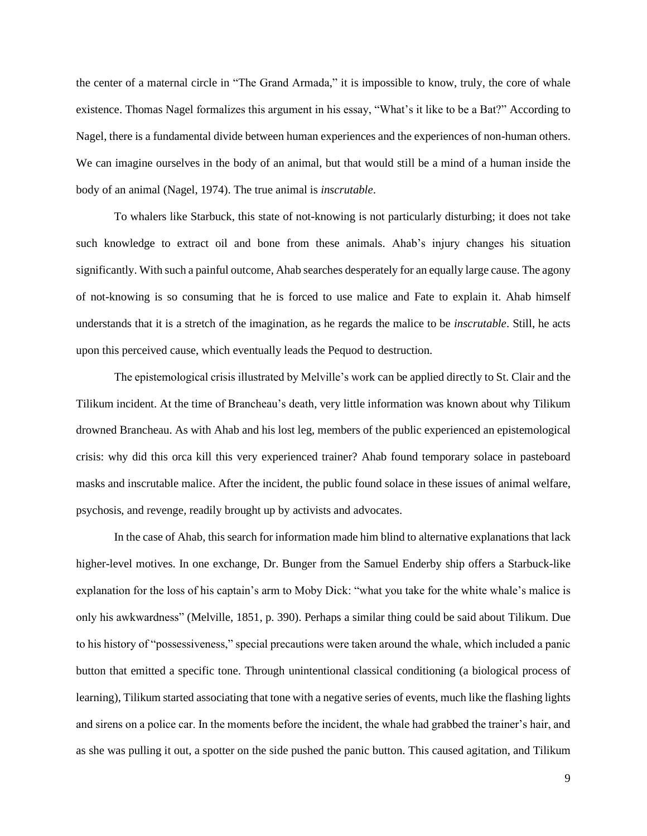the center of a maternal circle in "The Grand Armada," it is impossible to know, truly, the core of whale existence. Thomas Nagel formalizes this argument in his essay, "What's it like to be a Bat?" According to Nagel, there is a fundamental divide between human experiences and the experiences of non-human others. We can imagine ourselves in the body of an animal, but that would still be a mind of a human inside the body of an animal (Nagel, 1974). The true animal is *inscrutable*.

To whalers like Starbuck, this state of not-knowing is not particularly disturbing; it does not take such knowledge to extract oil and bone from these animals. Ahab's injury changes his situation significantly. With such a painful outcome, Ahab searches desperately for an equally large cause. The agony of not-knowing is so consuming that he is forced to use malice and Fate to explain it. Ahab himself understands that it is a stretch of the imagination, as he regards the malice to be *inscrutable*. Still, he acts upon this perceived cause, which eventually leads the Pequod to destruction.

The epistemological crisis illustrated by Melville's work can be applied directly to St. Clair and the Tilikum incident. At the time of Brancheau's death, very little information was known about why Tilikum drowned Brancheau. As with Ahab and his lost leg, members of the public experienced an epistemological crisis: why did this orca kill this very experienced trainer? Ahab found temporary solace in pasteboard masks and inscrutable malice. After the incident, the public found solace in these issues of animal welfare, psychosis, and revenge, readily brought up by activists and advocates.

In the case of Ahab, this search for information made him blind to alternative explanations that lack higher-level motives. In one exchange, Dr. Bunger from the Samuel Enderby ship offers a Starbuck-like explanation for the loss of his captain's arm to Moby Dick: "what you take for the white whale's malice is only his awkwardness" (Melville, 1851, p. 390). Perhaps a similar thing could be said about Tilikum. Due to his history of "possessiveness," special precautions were taken around the whale, which included a panic button that emitted a specific tone. Through unintentional classical conditioning (a biological process of learning), Tilikum started associating that tone with a negative series of events, much like the flashing lights and sirens on a police car. In the moments before the incident, the whale had grabbed the trainer's hair, and as she was pulling it out, a spotter on the side pushed the panic button. This caused agitation, and Tilikum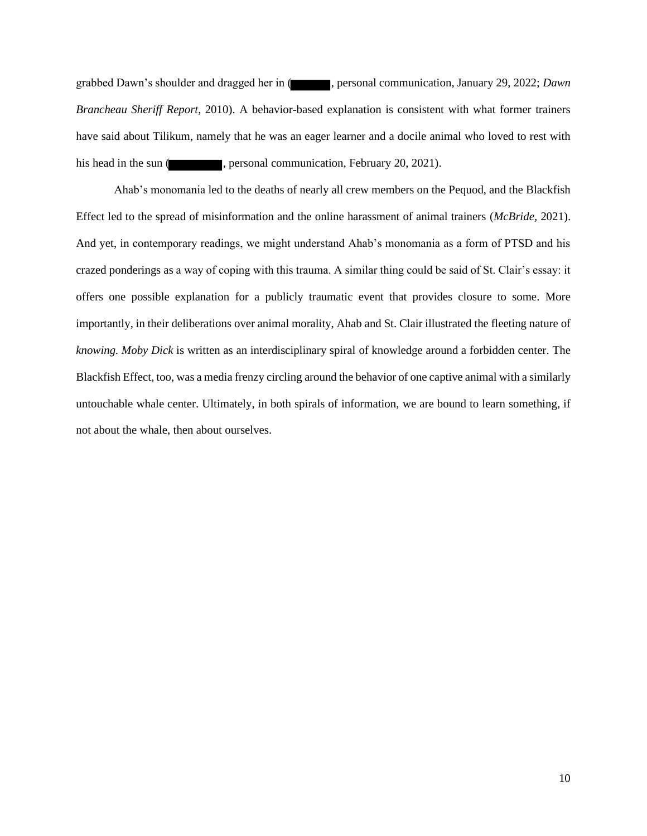grabbed Dawn's shoulder and dragged her in ( , personal communication, January 29, 2022; *Dawn Brancheau Sheriff Report*, 2010). A behavior-based explanation is consistent with what former trainers have said about Tilikum, namely that he was an eager learner and a docile animal who loved to rest with his head in the sun ( , personal communication, February 20, 2021).

Ahab's monomania led to the deaths of nearly all crew members on the Pequod, and the Blackfish Effect led to the spread of misinformation and the online harassment of animal trainers (*McBride,* 2021). And yet, in contemporary readings, we might understand Ahab's monomania as a form of PTSD and his crazed ponderings as a way of coping with this trauma. A similar thing could be said of St. Clair's essay: it offers one possible explanation for a publicly traumatic event that provides closure to some. More importantly, in their deliberations over animal morality, Ahab and St. Clair illustrated the fleeting nature of *knowing. Moby Dick* is written as an interdisciplinary spiral of knowledge around a forbidden center. The Blackfish Effect, too, was a media frenzy circling around the behavior of one captive animal with a similarly untouchable whale center. Ultimately, in both spirals of information, we are bound to learn something, if not about the whale, then about ourselves.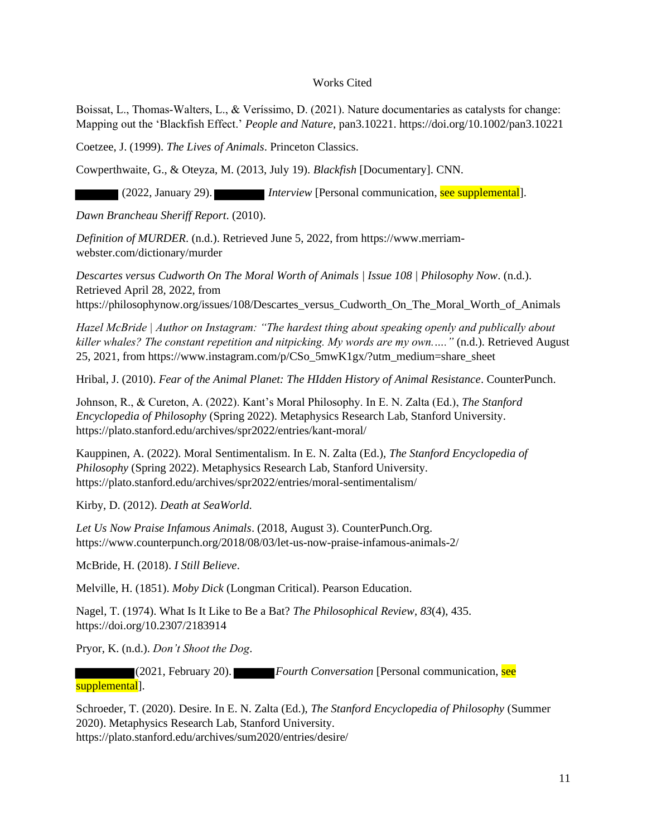# Works Cited

Boissat, L., Thomas‐Walters, L., & Veríssimo, D. (2021). Nature documentaries as catalysts for change: Mapping out the 'Blackfish Effect.' *People and Nature*, pan3.10221. https://doi.org/10.1002/pan3.10221

Coetzee, J. (1999). *The Lives of Animals*. Princeton Classics.

Cowperthwaite, G., & Oteyza, M. (2013, July 19). *Blackfish* [Documentary]. CNN.

(2022, January 29). *Interview* [Personal communication, see supplemental].

*Dawn Brancheau Sheriff Report*. (2010).

*Definition of MURDER*. (n.d.). Retrieved June 5, 2022, from https://www.merriamwebster.com/dictionary/murder

*Descartes versus Cudworth On The Moral Worth of Animals | Issue 108 | Philosophy Now*. (n.d.). Retrieved April 28, 2022, from https://philosophynow.org/issues/108/Descartes\_versus\_Cudworth\_On\_The\_Moral\_Worth\_of\_Animals

*Hazel McBride | Author on Instagram: "The hardest thing about speaking openly and publically about killer whales? The constant repetition and nitpicking. My words are my own.…."* (n.d.). Retrieved August 25, 2021, from https://www.instagram.com/p/CSo\_5mwK1gx/?utm\_medium=share\_sheet

Hribal, J. (2010). *Fear of the Animal Planet: The HIdden History of Animal Resistance*. CounterPunch.

Johnson, R., & Cureton, A. (2022). Kant's Moral Philosophy. In E. N. Zalta (Ed.), *The Stanford Encyclopedia of Philosophy* (Spring 2022). Metaphysics Research Lab, Stanford University. https://plato.stanford.edu/archives/spr2022/entries/kant-moral/

Kauppinen, A. (2022). Moral Sentimentalism. In E. N. Zalta (Ed.), *The Stanford Encyclopedia of Philosophy* (Spring 2022). Metaphysics Research Lab, Stanford University. https://plato.stanford.edu/archives/spr2022/entries/moral-sentimentalism/

Kirby, D. (2012). *Death at SeaWorld*.

*Let Us Now Praise Infamous Animals*. (2018, August 3). CounterPunch.Org. https://www.counterpunch.org/2018/08/03/let-us-now-praise-infamous-animals-2/

McBride, H. (2018). *I Still Believe*.

Melville, H. (1851). *Moby Dick* (Longman Critical). Pearson Education.

Nagel, T. (1974). What Is It Like to Be a Bat? *The Philosophical Review*, *83*(4), 435. https://doi.org/10.2307/2183914

Pryor, K. (n.d.). *Don't Shoot the Dog*.

(2021, February 20). *Fourth Conversation* [Personal communication, see supplemental].

Schroeder, T. (2020). Desire. In E. N. Zalta (Ed.), *The Stanford Encyclopedia of Philosophy* (Summer 2020). Metaphysics Research Lab, Stanford University. https://plato.stanford.edu/archives/sum2020/entries/desire/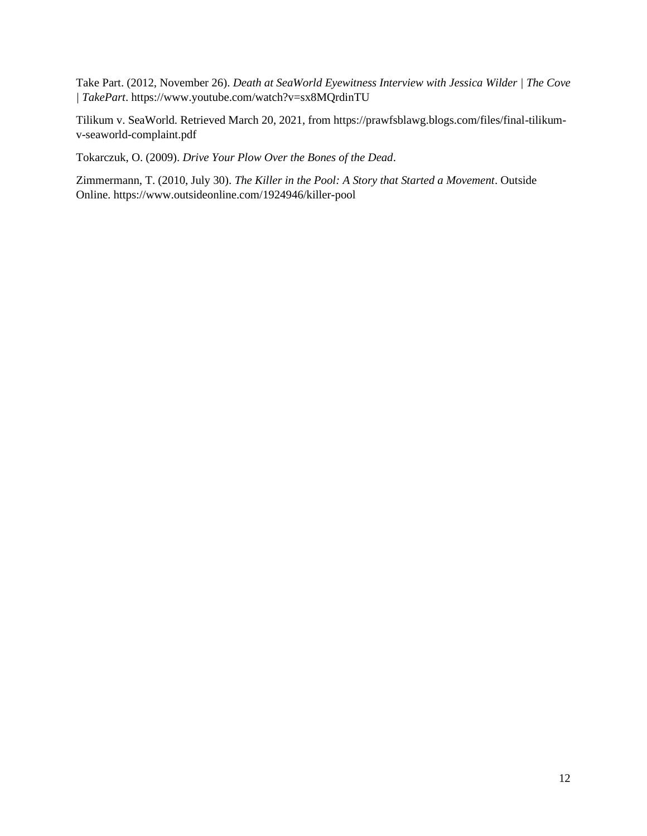Take Part. (2012, November 26). *Death at SeaWorld Eyewitness Interview with Jessica Wilder | The Cove | TakePart*. https://www.youtube.com/watch?v=sx8MQrdinTU

Tilikum v. SeaWorld. Retrieved March 20, 2021, from https://prawfsblawg.blogs.com/files/final-tilikumv-seaworld-complaint.pdf

Tokarczuk, O. (2009). *Drive Your Plow Over the Bones of the Dead*.

Zimmermann, T. (2010, July 30). *The Killer in the Pool: A Story that Started a Movement*. Outside Online. https://www.outsideonline.com/1924946/killer-pool